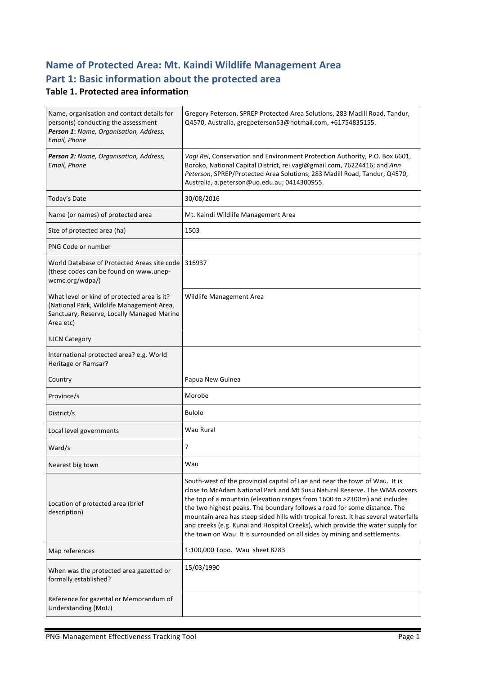# **Name of Protected Area: Mt. Kaindi Wildlife Management Area** Part 1: Basic information about the protected area

#### **Table 1. Protected area information**

| Name, organisation and contact details for<br>person(s) conducting the assessment<br>Person 1: Name, Organisation, Address,<br>Email, Phone         | Gregory Peterson, SPREP Protected Area Solutions, 283 Madill Road, Tandur,<br>Q4570, Australia, gregpeterson53@hotmail.com, +61754835155.                                                                                                                                                                                                                                                                                                                                                                                                                                 |
|-----------------------------------------------------------------------------------------------------------------------------------------------------|---------------------------------------------------------------------------------------------------------------------------------------------------------------------------------------------------------------------------------------------------------------------------------------------------------------------------------------------------------------------------------------------------------------------------------------------------------------------------------------------------------------------------------------------------------------------------|
| Person 2: Name, Organisation, Address,<br>Email, Phone                                                                                              | Vagi Rei, Conservation and Environment Protection Authority, P.O. Box 6601,<br>Boroko, National Capital District, rei.vagi@gmail.com, 76224416; and Ann<br>Peterson, SPREP/Protected Area Solutions, 283 Madill Road, Tandur, Q4570,<br>Australia, a.peterson@uq.edu.au; 0414300955.                                                                                                                                                                                                                                                                                      |
| Today's Date                                                                                                                                        | 30/08/2016                                                                                                                                                                                                                                                                                                                                                                                                                                                                                                                                                                |
| Name (or names) of protected area                                                                                                                   | Mt. Kaindi Wildlife Management Area                                                                                                                                                                                                                                                                                                                                                                                                                                                                                                                                       |
| Size of protected area (ha)                                                                                                                         | 1503                                                                                                                                                                                                                                                                                                                                                                                                                                                                                                                                                                      |
| PNG Code or number                                                                                                                                  |                                                                                                                                                                                                                                                                                                                                                                                                                                                                                                                                                                           |
| World Database of Protected Areas site code<br>(these codes can be found on www.unep-<br>wcmc.org/wdpa/)                                            | 316937                                                                                                                                                                                                                                                                                                                                                                                                                                                                                                                                                                    |
| What level or kind of protected area is it?<br>(National Park, Wildlife Management Area,<br>Sanctuary, Reserve, Locally Managed Marine<br>Area etc) | <b>Wildlife Management Area</b>                                                                                                                                                                                                                                                                                                                                                                                                                                                                                                                                           |
| <b>IUCN Category</b>                                                                                                                                |                                                                                                                                                                                                                                                                                                                                                                                                                                                                                                                                                                           |
| International protected area? e.g. World<br>Heritage or Ramsar?                                                                                     |                                                                                                                                                                                                                                                                                                                                                                                                                                                                                                                                                                           |
| Country                                                                                                                                             | Papua New Guinea                                                                                                                                                                                                                                                                                                                                                                                                                                                                                                                                                          |
| Province/s                                                                                                                                          | Morobe                                                                                                                                                                                                                                                                                                                                                                                                                                                                                                                                                                    |
| District/s                                                                                                                                          | <b>Bulolo</b>                                                                                                                                                                                                                                                                                                                                                                                                                                                                                                                                                             |
| Local level governments                                                                                                                             | Wau Rural                                                                                                                                                                                                                                                                                                                                                                                                                                                                                                                                                                 |
| Ward/s                                                                                                                                              | $\overline{7}$                                                                                                                                                                                                                                                                                                                                                                                                                                                                                                                                                            |
| Nearest big town                                                                                                                                    | Wau                                                                                                                                                                                                                                                                                                                                                                                                                                                                                                                                                                       |
| Location of protected area (brief<br>description)                                                                                                   | South-west of the provincial capital of Lae and near the town of Wau. It is<br>close to McAdam National Park and Mt Susu Natural Reserve. The WMA covers<br>the top of a mountain (elevation ranges from 1600 to >2300m) and includes<br>the two highest peaks. The boundary follows a road for some distance. The<br>mountain area has steep sided hills with tropical forest. It has several waterfalls<br>and creeks (e.g. Kunai and Hospital Creeks), which provide the water supply for<br>the town on Wau. It is surrounded on all sides by mining and settlements. |
| Map references                                                                                                                                      | 1:100,000 Topo. Wau sheet 8283                                                                                                                                                                                                                                                                                                                                                                                                                                                                                                                                            |
| When was the protected area gazetted or<br>formally established?                                                                                    | 15/03/1990                                                                                                                                                                                                                                                                                                                                                                                                                                                                                                                                                                |
| Reference for gazettal or Memorandum of<br>Understanding (MoU)                                                                                      |                                                                                                                                                                                                                                                                                                                                                                                                                                                                                                                                                                           |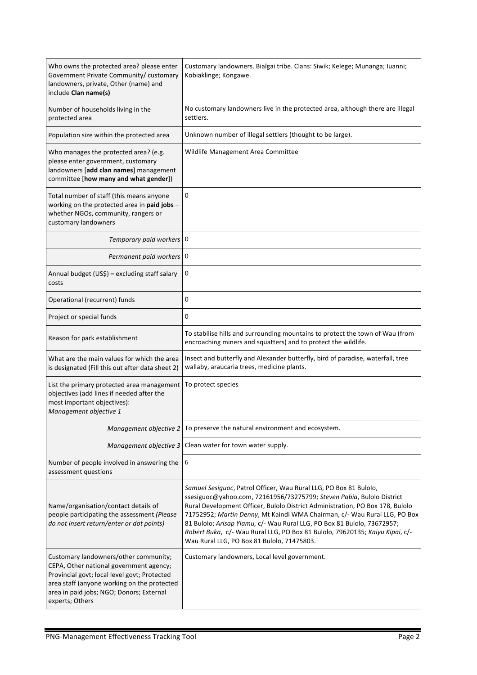| Who owns the protected area? please enter<br>Government Private Community/ customary<br>landowners, private, Other (name) and<br>include Clan name(s)                                                                                          | Customary landowners. Bialgai tribe. Clans: Siwik; Kelege; Munanga; Iuanni;<br>Kobiaklinge; Kongawe.                                                                                                                                                                                                                                                                                                                                                                                                              |
|------------------------------------------------------------------------------------------------------------------------------------------------------------------------------------------------------------------------------------------------|-------------------------------------------------------------------------------------------------------------------------------------------------------------------------------------------------------------------------------------------------------------------------------------------------------------------------------------------------------------------------------------------------------------------------------------------------------------------------------------------------------------------|
| Number of households living in the<br>protected area                                                                                                                                                                                           | No customary landowners live in the protected area, although there are illegal<br>settlers.                                                                                                                                                                                                                                                                                                                                                                                                                       |
| Population size within the protected area                                                                                                                                                                                                      | Unknown number of illegal settlers (thought to be large).                                                                                                                                                                                                                                                                                                                                                                                                                                                         |
| Who manages the protected area? (e.g.<br>please enter government, customary<br>landowners [add clan names] management<br>committee [how many and what gender])                                                                                 | Wildlife Management Area Committee                                                                                                                                                                                                                                                                                                                                                                                                                                                                                |
| Total number of staff (this means anyone<br>working on the protected area in paid jobs -<br>whether NGOs, community, rangers or<br>customary landowners                                                                                        | 0                                                                                                                                                                                                                                                                                                                                                                                                                                                                                                                 |
| Temporary paid workers 0                                                                                                                                                                                                                       |                                                                                                                                                                                                                                                                                                                                                                                                                                                                                                                   |
| Permanent paid workers 0                                                                                                                                                                                                                       |                                                                                                                                                                                                                                                                                                                                                                                                                                                                                                                   |
| Annual budget (US\$) - excluding staff salary<br>costs                                                                                                                                                                                         | 0                                                                                                                                                                                                                                                                                                                                                                                                                                                                                                                 |
| Operational (recurrent) funds                                                                                                                                                                                                                  | 0                                                                                                                                                                                                                                                                                                                                                                                                                                                                                                                 |
| Project or special funds                                                                                                                                                                                                                       | 0                                                                                                                                                                                                                                                                                                                                                                                                                                                                                                                 |
| Reason for park establishment                                                                                                                                                                                                                  | To stabilise hills and surrounding mountains to protect the town of Wau (from<br>encroaching miners and squatters) and to protect the wildlife.                                                                                                                                                                                                                                                                                                                                                                   |
| What are the main values for which the area<br>is designated (Fill this out after data sheet 2)                                                                                                                                                | Insect and butterfly and Alexander butterfly, bird of paradise, waterfall, tree<br>wallaby, araucaria trees, medicine plants.                                                                                                                                                                                                                                                                                                                                                                                     |
| List the primary protected area management<br>objectives (add lines if needed after the<br>most important objectives):<br>Management objective 1                                                                                               | To protect species                                                                                                                                                                                                                                                                                                                                                                                                                                                                                                |
| Management objective 2                                                                                                                                                                                                                         | To preserve the natural environment and ecosystem.                                                                                                                                                                                                                                                                                                                                                                                                                                                                |
| Management objective 3                                                                                                                                                                                                                         | Clean water for town water supply.                                                                                                                                                                                                                                                                                                                                                                                                                                                                                |
| Number of people involved in answering the<br>assessment questions                                                                                                                                                                             | 6                                                                                                                                                                                                                                                                                                                                                                                                                                                                                                                 |
| Name/organisation/contact details of<br>people participating the assessment (Please<br>do not insert return/enter or dot points)                                                                                                               | Samuel Sesiguoc, Patrol Officer, Wau Rural LLG, PO Box 81 Bulolo,<br>ssesiguoc@yahoo.com, 72161956/73275799; Steven Pabia, Bulolo District<br>Rural Development Officer, Bulolo District Administration, PO Box 178, Bulolo<br>71752952; Martin Denny, Mt Kaindi WMA Chairman, c/- Wau Rural LLG, PO Box<br>81 Bulolo; Arisap Yiamu, c/- Wau Rural LLG, PO Box 81 Bulolo, 73672957;<br>Robert Buka, c/- Wau Rural LLG, PO Box 81 Bulolo, 79620135; Kaiyu Kipai, c/-<br>Wau Rural LLG, PO Box 81 Bulolo, 71475803. |
| Customary landowners/other community;<br>CEPA, Other national government agency;<br>Provincial govt; local level govt; Protected<br>area staff (anyone working on the protected<br>area in paid jobs; NGO; Donors; External<br>experts; Others | Customary landowners, Local level government.                                                                                                                                                                                                                                                                                                                                                                                                                                                                     |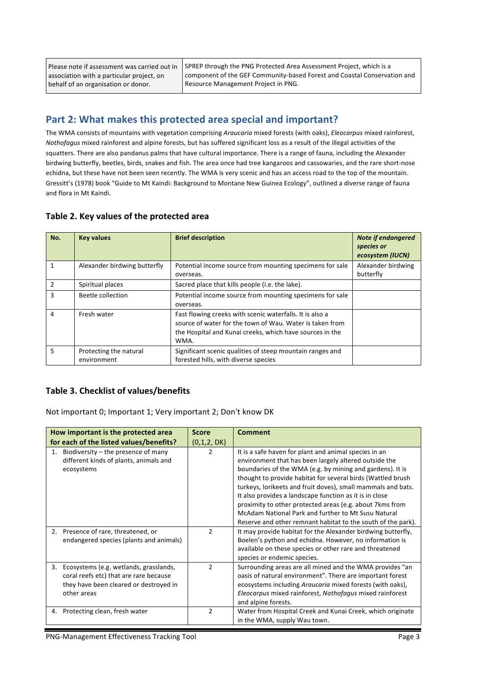Please note if assessment was carried out in association with a particular project, on behalf of an organisation or donor.

SPREP through the PNG Protected Area Assessment Project, which is a component of the GEF Community-based Forest and Coastal Conservation and Resource Management Project in PNG.

## **Part 2: What makes this protected area special and important?**

The WMA consists of mountains with vegetation comprising *Araucaria* mixed forests (with oaks), *Eleocarpus* mixed rainforest, *Nothofagus* mixed rainforest and alpine forests, but has suffered significant loss as a result of the illegal activities of the squatters. There are also pandanus palms that have cultural importance. There is a range of fauna, including the Alexander birdwing butterfly, beetles, birds, snakes and fish. The area once had tree kangaroos and cassowaries, and the rare short-nose echidna, but these have not been seen recently. The WMA is very scenic and has an access road to the top of the mountain. Gressitt's (1978) book "Guide to Mt Kaindi: Background to Montane New Guinea Ecology", outlined a diverse range of fauna and flora in Mt Kaindi.

| No.            | <b>Key values</b>                     | <b>Brief description</b>                                                                                                                                                                 | <b>Note if endangered</b><br>species or<br>ecosystem (IUCN) |
|----------------|---------------------------------------|------------------------------------------------------------------------------------------------------------------------------------------------------------------------------------------|-------------------------------------------------------------|
|                | Alexander birdwing butterfly          | Potential income source from mounting specimens for sale<br>overseas.                                                                                                                    | Alexander birdwing<br>butterfly                             |
| $\overline{2}$ | Spiritual places                      | Sacred place that kills people (i.e. the lake).                                                                                                                                          |                                                             |
| 3              | Beetle collection                     | Potential income source from mounting specimens for sale<br>overseas.                                                                                                                    |                                                             |
| 4              | Fresh water                           | Fast flowing creeks with scenic waterfalls. It is also a<br>source of water for the town of Wau. Water is taken from<br>the Hospital and Kunai creeks, which have sources in the<br>WMA. |                                                             |
| 5              | Protecting the natural<br>environment | Significant scenic qualities of steep mountain ranges and<br>forested hills, with diverse species                                                                                        |                                                             |

#### Table 2. Key values of the protected area

#### **Table 3. Checklist of values/benefits**

Not important 0; Important 1; Very important 2; Don't know DK

| How important is the protected area                                                                                                             | <b>Score</b>  | <b>Comment</b>                                                                                                                                                                                                                                                                                                                                                                                                                                                                                                                                            |
|-------------------------------------------------------------------------------------------------------------------------------------------------|---------------|-----------------------------------------------------------------------------------------------------------------------------------------------------------------------------------------------------------------------------------------------------------------------------------------------------------------------------------------------------------------------------------------------------------------------------------------------------------------------------------------------------------------------------------------------------------|
| for each of the listed values/benefits?                                                                                                         | (0,1,2, DK)   |                                                                                                                                                                                                                                                                                                                                                                                                                                                                                                                                                           |
| Biodiversity – the presence of many<br>1.<br>different kinds of plants, animals and<br>ecosystems                                               | $\mathcal{P}$ | It is a safe haven for plant and animal species in an<br>environment that has been largely altered outside the<br>boundaries of the WMA (e.g. by mining and gardens). It is<br>thought to provide habitat for several birds (Wattled brush<br>turkeys, lorikeets and fruit doves), small mammals and bats.<br>It also provides a landscape function as it is in close<br>proximity to other protected areas (e.g. about 7 kms from<br>McAdam National Park and further to Mt Susu Natural<br>Reserve and other remnant habitat to the south of the park). |
| 2. Presence of rare, threatened, or<br>endangered species (plants and animals)                                                                  | $\mathcal{P}$ | It may provide habitat for the Alexander birdwing butterfly,<br>Boelen's python and echidna. However, no information is<br>available on these species or other rare and threatened<br>species or endemic species.                                                                                                                                                                                                                                                                                                                                         |
| Ecosystems (e.g. wetlands, grasslands,<br>3.<br>coral reefs etc) that are rare because<br>they have been cleared or destroyed in<br>other areas | $\mathcal{P}$ | Surrounding areas are all mined and the WMA provides "an<br>oasis of natural environment". There are important forest<br>ecosystems including Araucaria mixed forests (with oaks),<br>Eleocarpus mixed rainforest, Nothofagus mixed rainforest<br>and alpine forests.                                                                                                                                                                                                                                                                                     |
| 4. Protecting clean, fresh water                                                                                                                | $\mathcal{P}$ | Water from Hospital Creek and Kunai Creek, which originate<br>in the WMA, supply Wau town.                                                                                                                                                                                                                                                                                                                                                                                                                                                                |

PNG-Management Effectiveness Tracking Tool example and the control Page 3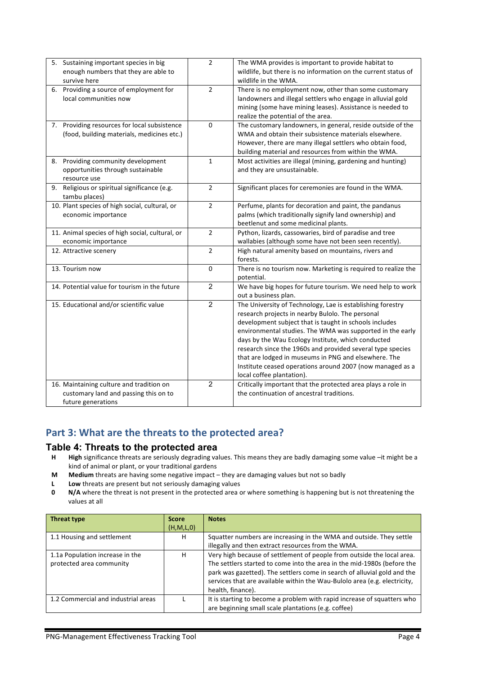| Sustaining important species in big<br>5.<br>enough numbers that they are able to<br>survive here       | $\overline{2}$ | The WMA provides is important to provide habitat to<br>wildlife, but there is no information on the current status of<br>wildlife in the WMA.                                                                                                                                                                                                                                                                                                                                                               |
|---------------------------------------------------------------------------------------------------------|----------------|-------------------------------------------------------------------------------------------------------------------------------------------------------------------------------------------------------------------------------------------------------------------------------------------------------------------------------------------------------------------------------------------------------------------------------------------------------------------------------------------------------------|
| 6. Providing a source of employment for<br>local communities now                                        | $\overline{2}$ | There is no employment now, other than some customary<br>landowners and illegal settlers who engage in alluvial gold<br>mining (some have mining leases). Assistance is needed to<br>realize the potential of the area.                                                                                                                                                                                                                                                                                     |
| 7. Providing resources for local subsistence<br>(food, building materials, medicines etc.)              | 0              | The customary landowners, in general, reside outside of the<br>WMA and obtain their subsistence materials elsewhere.<br>However, there are many illegal settlers who obtain food,<br>building material and resources from within the WMA.                                                                                                                                                                                                                                                                   |
| Providing community development<br>8.<br>opportunities through sustainable<br>resource use              | $\mathbf{1}$   | Most activities are illegal (mining, gardening and hunting)<br>and they are unsustainable.                                                                                                                                                                                                                                                                                                                                                                                                                  |
| Religious or spiritual significance (e.g.<br>9.<br>tambu places)                                        | $\overline{2}$ | Significant places for ceremonies are found in the WMA.                                                                                                                                                                                                                                                                                                                                                                                                                                                     |
| 10. Plant species of high social, cultural, or<br>economic importance                                   | $\overline{2}$ | Perfume, plants for decoration and paint, the pandanus<br>palms (which traditionally signify land ownership) and<br>beetlenut and some medicinal plants.                                                                                                                                                                                                                                                                                                                                                    |
| 11. Animal species of high social, cultural, or<br>economic importance                                  | $\overline{2}$ | Python, lizards, cassowaries, bird of paradise and tree<br>wallabies (although some have not been seen recently).                                                                                                                                                                                                                                                                                                                                                                                           |
| 12. Attractive scenery                                                                                  | $\overline{2}$ | High natural amenity based on mountains, rivers and<br>forests.                                                                                                                                                                                                                                                                                                                                                                                                                                             |
| 13. Tourism now                                                                                         | 0              | There is no tourism now. Marketing is required to realize the<br>potential.                                                                                                                                                                                                                                                                                                                                                                                                                                 |
| 14. Potential value for tourism in the future                                                           | $\overline{c}$ | We have big hopes for future tourism. We need help to work<br>out a business plan.                                                                                                                                                                                                                                                                                                                                                                                                                          |
| 15. Educational and/or scientific value                                                                 | $\overline{2}$ | The University of Technology, Lae is establishing forestry<br>research projects in nearby Bulolo. The personal<br>development subject that is taught in schools includes<br>environmental studies. The WMA was supported in the early<br>days by the Wau Ecology Institute, which conducted<br>research since the 1960s and provided several type species<br>that are lodged in museums in PNG and elsewhere. The<br>Institute ceased operations around 2007 (now managed as a<br>local coffee plantation). |
| 16. Maintaining culture and tradition on<br>customary land and passing this on to<br>future generations | $\overline{2}$ | Critically important that the protected area plays a role in<br>the continuation of ancestral traditions.                                                                                                                                                                                                                                                                                                                                                                                                   |

## Part 3: What are the threats to the protected area?

#### **Table 4: Threats to the protected area**

- H **High** significance threats are seriously degrading values. This means they are badly damaging some value -it might be a kind of animal or plant, or your traditional gardens
- **M** Medium threats are having some negative impact they are damaging values but not so badly
- **L** Low threats are present but not seriously damaging values
- **0 N/A** where the threat is not present in the protected area or where something is happening but is not threatening the values at all

| Threat type                                                 | <b>Score</b><br>(H, M, L, 0) | <b>Notes</b>                                                                                                                                                                                                                                                                                                                    |
|-------------------------------------------------------------|------------------------------|---------------------------------------------------------------------------------------------------------------------------------------------------------------------------------------------------------------------------------------------------------------------------------------------------------------------------------|
|                                                             |                              |                                                                                                                                                                                                                                                                                                                                 |
| 1.1 Housing and settlement                                  | н                            | Squatter numbers are increasing in the WMA and outside. They settle                                                                                                                                                                                                                                                             |
|                                                             |                              | illegally and then extract resources from the WMA.                                                                                                                                                                                                                                                                              |
| 1.1a Population increase in the<br>protected area community | н                            | Very high because of settlement of people from outside the local area.<br>The settlers started to come into the area in the mid-1980s (before the<br>park was gazetted). The settlers come in search of alluvial gold and the<br>services that are available within the Wau-Bulolo area (e.g. electricity,<br>health, finance). |
| 1.2 Commercial and industrial areas                         |                              | It is starting to become a problem with rapid increase of squatters who<br>are beginning small scale plantations (e.g. coffee)                                                                                                                                                                                                  |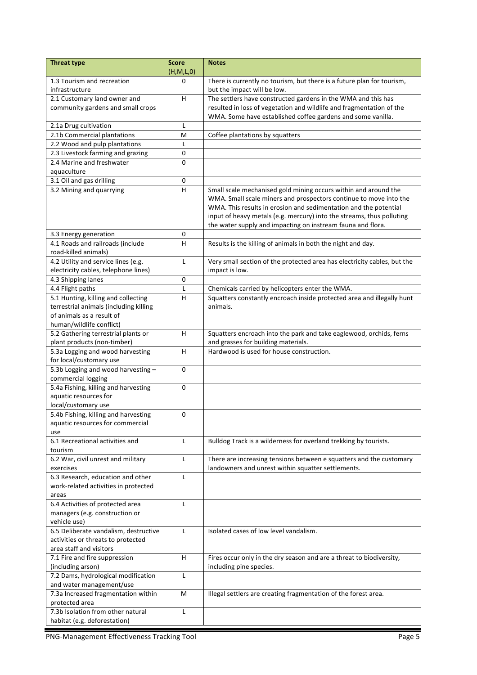| <b>Threat type</b>                                         | <b>Score</b> | <b>Notes</b>                                                                    |  |
|------------------------------------------------------------|--------------|---------------------------------------------------------------------------------|--|
|                                                            | (H,M,L,0)    |                                                                                 |  |
| 1.3 Tourism and recreation                                 | 0            | There is currently no tourism, but there is a future plan for tourism,          |  |
| infrastructure                                             |              | but the impact will be low.                                                     |  |
| 2.1 Customary land owner and                               | H            | The settlers have constructed gardens in the WMA and this has                   |  |
| community gardens and small crops                          |              | resulted in loss of vegetation and wildlife and fragmentation of the            |  |
|                                                            |              | WMA. Some have established coffee gardens and some vanilla.                     |  |
| 2.1a Drug cultivation                                      | L            |                                                                                 |  |
| 2.1b Commercial plantations                                | M            | Coffee plantations by squatters                                                 |  |
| 2.2 Wood and pulp plantations                              | L            |                                                                                 |  |
| 2.3 Livestock farming and grazing                          | 0            |                                                                                 |  |
| 2.4 Marine and freshwater                                  | 0            |                                                                                 |  |
| aquaculture                                                |              |                                                                                 |  |
| 3.1 Oil and gas drilling                                   | 0            |                                                                                 |  |
| 3.2 Mining and quarrying                                   | H            | Small scale mechanised gold mining occurs within and around the                 |  |
|                                                            |              | WMA. Small scale miners and prospectors continue to move into the               |  |
|                                                            |              | WMA. This results in erosion and sedimentation and the potential                |  |
|                                                            |              | input of heavy metals (e.g. mercury) into the streams, thus polluting           |  |
|                                                            |              | the water supply and impacting on instream fauna and flora.                     |  |
| 3.3 Energy generation                                      | 0            |                                                                                 |  |
| 4.1 Roads and railroads (include                           | н            | Results is the killing of animals in both the night and day.                    |  |
| road-killed animals)                                       |              |                                                                                 |  |
| 4.2 Utility and service lines (e.g.                        | L            | Very small section of the protected area has electricity cables, but the        |  |
| electricity cables, telephone lines)                       |              | impact is low.                                                                  |  |
| 4.3 Shipping lanes                                         | $\pmb{0}$    |                                                                                 |  |
| 4.4 Flight paths                                           | $\mathsf{L}$ | Chemicals carried by helicopters enter the WMA.                                 |  |
| 5.1 Hunting, killing and collecting                        | н            | Squatters constantly encroach inside protected area and illegally hunt          |  |
| terrestrial animals (including killing                     |              | animals.                                                                        |  |
| of animals as a result of                                  |              |                                                                                 |  |
| human/wildlife conflict)                                   |              |                                                                                 |  |
| 5.2 Gathering terrestrial plants or                        | H            | Squatters encroach into the park and take eaglewood, orchids, ferns             |  |
| plant products (non-timber)                                | H            | and grasses for building materials.<br>Hardwood is used for house construction. |  |
| 5.3a Logging and wood harvesting                           |              |                                                                                 |  |
| for local/customary use                                    |              |                                                                                 |  |
| 5.3b Logging and wood harvesting -                         | $\mathbf 0$  |                                                                                 |  |
| commercial logging<br>5.4a Fishing, killing and harvesting | $\mathbf 0$  |                                                                                 |  |
| aquatic resources for                                      |              |                                                                                 |  |
| local/customary use                                        |              |                                                                                 |  |
| 5.4b Fishing, killing and harvesting                       | 0            |                                                                                 |  |
| aquatic resources for commercial                           |              |                                                                                 |  |
| use                                                        |              |                                                                                 |  |
| 6.1 Recreational activities and                            | $\mathsf{L}$ | Bulldog Track is a wilderness for overland trekking by tourists.                |  |
| tourism                                                    |              |                                                                                 |  |
| 6.2 War, civil unrest and military                         | L            | There are increasing tensions between e squatters and the customary             |  |
| exercises                                                  |              | landowners and unrest within squatter settlements.                              |  |
| 6.3 Research, education and other                          | L            |                                                                                 |  |
| work-related activities in protected                       |              |                                                                                 |  |
| areas                                                      |              |                                                                                 |  |
| 6.4 Activities of protected area                           | L            |                                                                                 |  |
| managers (e.g. construction or                             |              |                                                                                 |  |
| vehicle use)                                               |              |                                                                                 |  |
| 6.5 Deliberate vandalism, destructive                      | L            | Isolated cases of low level vandalism.                                          |  |
| activities or threats to protected                         |              |                                                                                 |  |
| area staff and visitors                                    |              |                                                                                 |  |
| 7.1 Fire and fire suppression                              | H            | Fires occur only in the dry season and are a threat to biodiversity,            |  |
| (including arson)                                          |              | including pine species.                                                         |  |
| 7.2 Dams, hydrological modification                        | $\mathsf{L}$ |                                                                                 |  |
| and water management/use                                   |              |                                                                                 |  |
| 7.3a Increased fragmentation within                        | M            | Illegal settlers are creating fragmentation of the forest area.                 |  |
| protected area                                             |              |                                                                                 |  |
| 7.3b Isolation from other natural                          | L            |                                                                                 |  |
| habitat (e.g. deforestation)                               |              |                                                                                 |  |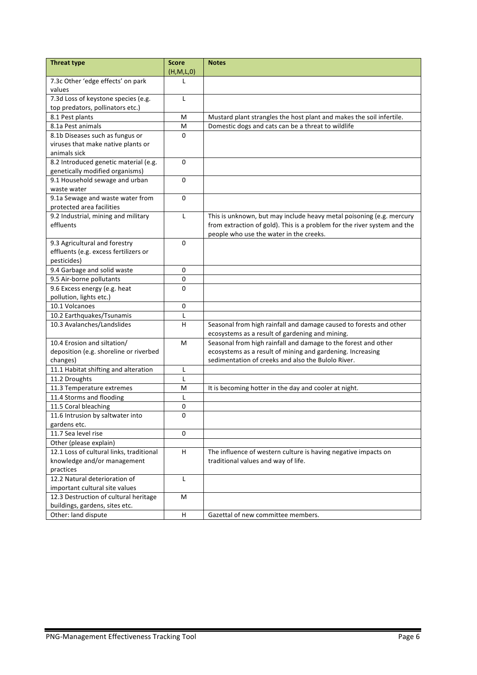| <b>Threat type</b>                          | <b>Score</b> | <b>Notes</b>                                                                                                          |
|---------------------------------------------|--------------|-----------------------------------------------------------------------------------------------------------------------|
|                                             | (H,M,L,0)    |                                                                                                                       |
| 7.3c Other 'edge effects' on park<br>values | L            |                                                                                                                       |
| 7.3d Loss of keystone species (e.g.         | L            |                                                                                                                       |
| top predators, pollinators etc.)            |              |                                                                                                                       |
| 8.1 Pest plants                             | M            | Mustard plant strangles the host plant and makes the soil infertile.                                                  |
| 8.1a Pest animals                           | M            | Domestic dogs and cats can be a threat to wildlife                                                                    |
| 8.1b Diseases such as fungus or             | 0            |                                                                                                                       |
| viruses that make native plants or          |              |                                                                                                                       |
| animals sick                                |              |                                                                                                                       |
| 8.2 Introduced genetic material (e.g.       | 0            |                                                                                                                       |
| genetically modified organisms)             |              |                                                                                                                       |
| 9.1 Household sewage and urban              | $\Omega$     |                                                                                                                       |
| waste water                                 |              |                                                                                                                       |
| 9.1a Sewage and waste water from            | 0            |                                                                                                                       |
| protected area facilities                   |              |                                                                                                                       |
| 9.2 Industrial, mining and military         | L            | This is unknown, but may include heavy metal poisoning (e.g. mercury                                                  |
| effluents                                   |              | from extraction of gold). This is a problem for the river system and the                                              |
|                                             |              | people who use the water in the creeks.                                                                               |
| 9.3 Agricultural and forestry               | 0            |                                                                                                                       |
| effluents (e.g. excess fertilizers or       |              |                                                                                                                       |
| pesticides)                                 |              |                                                                                                                       |
| 9.4 Garbage and solid waste                 | 0            |                                                                                                                       |
| 9.5 Air-borne pollutants                    | 0            |                                                                                                                       |
| 9.6 Excess energy (e.g. heat                | $\Omega$     |                                                                                                                       |
| pollution, lights etc.)                     |              |                                                                                                                       |
| 10.1 Volcanoes                              | 0            |                                                                                                                       |
| 10.2 Earthquakes/Tsunamis                   | L<br>H       |                                                                                                                       |
| 10.3 Avalanches/Landslides                  |              | Seasonal from high rainfall and damage caused to forests and other<br>ecosystems as a result of gardening and mining. |
| 10.4 Erosion and siltation/                 | M            | Seasonal from high rainfall and damage to the forest and other                                                        |
| deposition (e.g. shoreline or riverbed      |              | ecosystems as a result of mining and gardening. Increasing                                                            |
| changes)                                    |              | sedimentation of creeks and also the Bulolo River.                                                                    |
| 11.1 Habitat shifting and alteration        | L            |                                                                                                                       |
| 11.2 Droughts                               | L            |                                                                                                                       |
| 11.3 Temperature extremes                   | M            | It is becoming hotter in the day and cooler at night.                                                                 |
| 11.4 Storms and flooding                    | L            |                                                                                                                       |
| 11.5 Coral bleaching                        | 0            |                                                                                                                       |
| 11.6 Intrusion by saltwater into            | 0            |                                                                                                                       |
| gardens etc.                                |              |                                                                                                                       |
| 11.7 Sea level rise                         | 0            |                                                                                                                       |
| Other (please explain)                      |              |                                                                                                                       |
| 12.1 Loss of cultural links, traditional    | H            | The influence of western culture is having negative impacts on                                                        |
| knowledge and/or management                 |              | traditional values and way of life.                                                                                   |
| practices                                   |              |                                                                                                                       |
| 12.2 Natural deterioration of               | L            |                                                                                                                       |
| important cultural site values              |              |                                                                                                                       |
| 12.3 Destruction of cultural heritage       | М            |                                                                                                                       |
| buildings, gardens, sites etc.              |              |                                                                                                                       |
| Other: land dispute                         | H            | Gazettal of new committee members.                                                                                    |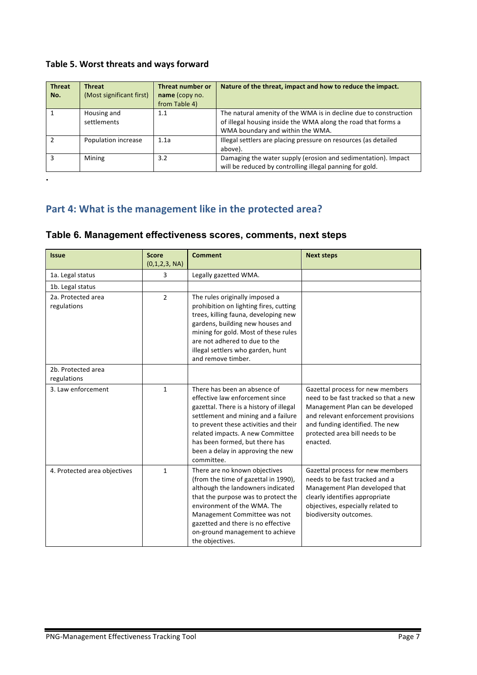## Table 5. Worst threats and ways forward

| <b>Threat</b><br>No. | <b>Threat</b><br>(Most significant first) | <b>Threat number or</b><br>name (copy no.<br>from Table 4) | Nature of the threat, impact and how to reduce the impact.                                                                                                            |
|----------------------|-------------------------------------------|------------------------------------------------------------|-----------------------------------------------------------------------------------------------------------------------------------------------------------------------|
|                      | Housing and<br>settlements                | 1.1                                                        | The natural amenity of the WMA is in decline due to construction<br>of illegal housing inside the WMA along the road that forms a<br>WMA boundary and within the WMA. |
|                      | Population increase                       | 1.1a                                                       | Illegal settlers are placing pressure on resources (as detailed<br>above).                                                                                            |
|                      | Mining                                    | 3.2                                                        | Damaging the water supply (erosion and sedimentation). Impact<br>will be reduced by controlling illegal panning for gold.                                             |

**.**

# Part 4: What is the management like in the protected area?

|  | Table 6. Management effectiveness scores, comments, next steps |  |  |
|--|----------------------------------------------------------------|--|--|
|--|----------------------------------------------------------------|--|--|

| <b>Issue</b>                      | <b>Score</b><br>(0,1,2,3, NA) | <b>Comment</b>                                                                                                                                                                                                                                                                                                      | <b>Next steps</b>                                                                                                                                                                                                                      |
|-----------------------------------|-------------------------------|---------------------------------------------------------------------------------------------------------------------------------------------------------------------------------------------------------------------------------------------------------------------------------------------------------------------|----------------------------------------------------------------------------------------------------------------------------------------------------------------------------------------------------------------------------------------|
| 1a. Legal status                  | 3                             | Legally gazetted WMA.                                                                                                                                                                                                                                                                                               |                                                                                                                                                                                                                                        |
| 1b. Legal status                  |                               |                                                                                                                                                                                                                                                                                                                     |                                                                                                                                                                                                                                        |
| 2a. Protected area<br>regulations | $\overline{2}$                | The rules originally imposed a<br>prohibition on lighting fires, cutting<br>trees, killing fauna, developing new<br>gardens, building new houses and<br>mining for gold. Most of these rules<br>are not adhered to due to the<br>illegal settlers who garden, hunt<br>and remove timber.                            |                                                                                                                                                                                                                                        |
| 2b. Protected area<br>regulations |                               |                                                                                                                                                                                                                                                                                                                     |                                                                                                                                                                                                                                        |
| 3. Law enforcement                | $\mathbf{1}$                  | There has been an absence of<br>effective law enforcement since<br>gazettal. There is a history of illegal<br>settlement and mining and a failure<br>to prevent these activities and their<br>related impacts. A new Committee<br>has been formed, but there has<br>been a delay in approving the new<br>committee. | Gazettal process for new members<br>need to be fast tracked so that a new<br>Management Plan can be developed<br>and relevant enforcement provisions<br>and funding identified. The new<br>protected area bill needs to be<br>enacted. |
| 4. Protected area objectives      | $\mathbf{1}$                  | There are no known objectives<br>(from the time of gazettal in 1990),<br>although the landowners indicated<br>that the purpose was to protect the<br>environment of the WMA. The<br>Management Committee was not<br>gazetted and there is no effective<br>on-ground management to achieve<br>the objectives.        | Gazettal process for new members<br>needs to be fast tracked and a<br>Management Plan developed that<br>clearly identifies appropriate<br>objectives, especially related to<br>biodiversity outcomes.                                  |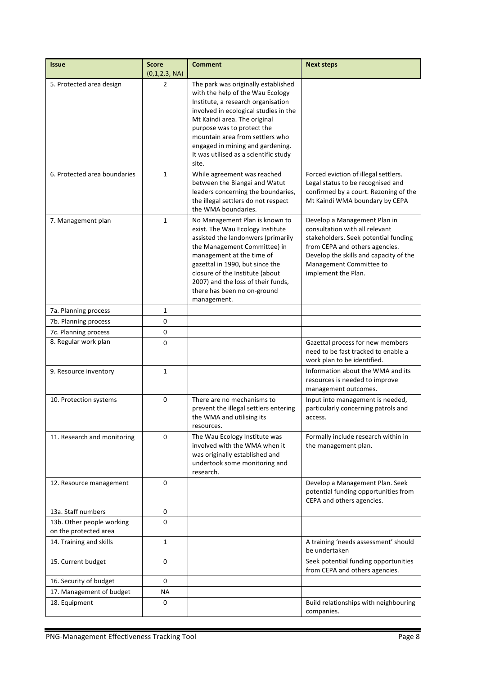| <b>Issue</b>                                       | <b>Score</b><br>(0,1,2,3, NA) | <b>Comment</b>                                                                                                                                                                                                                                                                                                                                | <b>Next steps</b>                                                                                                                                                                                                                    |
|----------------------------------------------------|-------------------------------|-----------------------------------------------------------------------------------------------------------------------------------------------------------------------------------------------------------------------------------------------------------------------------------------------------------------------------------------------|--------------------------------------------------------------------------------------------------------------------------------------------------------------------------------------------------------------------------------------|
| 5. Protected area design                           | $\overline{2}$                | The park was originally established<br>with the help of the Wau Ecology<br>Institute, a research organisation<br>involved in ecological studies in the<br>Mt Kaindi area. The original<br>purpose was to protect the<br>mountain area from settlers who<br>engaged in mining and gardening.<br>It was utilised as a scientific study<br>site. |                                                                                                                                                                                                                                      |
| 6. Protected area boundaries                       | 1                             | While agreement was reached<br>between the Biangai and Watut<br>leaders concerning the boundaries,<br>the illegal settlers do not respect<br>the WMA boundaries.                                                                                                                                                                              | Forced eviction of illegal settlers.<br>Legal status to be recognised and<br>confirmed by a court. Rezoning of the<br>Mt Kaindi WMA boundary by CEPA                                                                                 |
| 7. Management plan                                 | $\mathbf{1}$                  | No Management Plan is known to<br>exist. The Wau Ecology Institute<br>assisted the landonwers (primarily<br>the Management Committee) in<br>management at the time of<br>gazettal in 1990, but since the<br>closure of the Institute (about<br>2007) and the loss of their funds,<br>there has been no on-ground<br>management.               | Develop a Management Plan in<br>consultation with all relevant<br>stakeholders. Seek potential funding<br>from CEPA and others agencies.<br>Develop the skills and capacity of the<br>Management Committee to<br>implement the Plan. |
| 7a. Planning process                               | $\mathbf{1}$                  |                                                                                                                                                                                                                                                                                                                                               |                                                                                                                                                                                                                                      |
| 7b. Planning process                               | 0                             |                                                                                                                                                                                                                                                                                                                                               |                                                                                                                                                                                                                                      |
| 7c. Planning process                               | $\pmb{0}$                     |                                                                                                                                                                                                                                                                                                                                               |                                                                                                                                                                                                                                      |
| 8. Regular work plan                               | 0                             |                                                                                                                                                                                                                                                                                                                                               | Gazettal process for new members<br>need to be fast tracked to enable a<br>work plan to be identified.                                                                                                                               |
| 9. Resource inventory                              | $\mathbf{1}$                  |                                                                                                                                                                                                                                                                                                                                               | Information about the WMA and its<br>resources is needed to improve<br>management outcomes.                                                                                                                                          |
| 10. Protection systems                             | 0                             | There are no mechanisms to<br>prevent the illegal settlers entering<br>the WMA and utilising its<br>resources.                                                                                                                                                                                                                                | Input into management is needed,<br>particularly concerning patrols and<br>access.                                                                                                                                                   |
| 11. Research and monitoring                        | $\Omega$                      | The Wau Ecology Institute was<br>involved with the WMA when it<br>was originally established and<br>undertook some monitoring and<br>research.                                                                                                                                                                                                | Formally include research within in<br>the management plan.                                                                                                                                                                          |
| 12. Resource management                            | 0                             |                                                                                                                                                                                                                                                                                                                                               | Develop a Management Plan. Seek<br>potential funding opportunities from<br>CEPA and others agencies.                                                                                                                                 |
| 13a. Staff numbers                                 | 0                             |                                                                                                                                                                                                                                                                                                                                               |                                                                                                                                                                                                                                      |
| 13b. Other people working<br>on the protected area | $\Omega$                      |                                                                                                                                                                                                                                                                                                                                               |                                                                                                                                                                                                                                      |
| 14. Training and skills                            | $\mathbf{1}$                  |                                                                                                                                                                                                                                                                                                                                               | A training 'needs assessment' should<br>be undertaken                                                                                                                                                                                |
| 15. Current budget                                 | 0                             |                                                                                                                                                                                                                                                                                                                                               | Seek potential funding opportunities<br>from CEPA and others agencies.                                                                                                                                                               |
| 16. Security of budget                             | 0                             |                                                                                                                                                                                                                                                                                                                                               |                                                                                                                                                                                                                                      |
| 17. Management of budget                           | <b>NA</b>                     |                                                                                                                                                                                                                                                                                                                                               |                                                                                                                                                                                                                                      |
| 18. Equipment                                      | 0                             |                                                                                                                                                                                                                                                                                                                                               | Build relationships with neighbouring<br>companies.                                                                                                                                                                                  |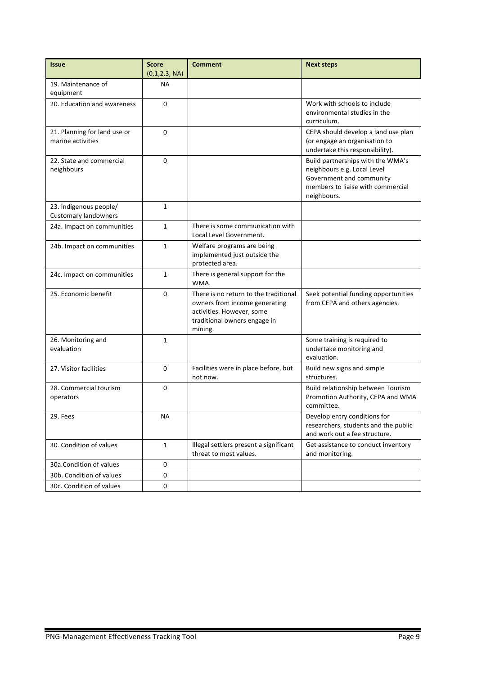| <b>Issue</b>                                          | <b>Score</b><br>(0,1,2,3, NA) | <b>Comment</b>                                                                                                                                 | <b>Next steps</b>                                                                                                                                |
|-------------------------------------------------------|-------------------------------|------------------------------------------------------------------------------------------------------------------------------------------------|--------------------------------------------------------------------------------------------------------------------------------------------------|
| 19. Maintenance of                                    | <b>NA</b>                     |                                                                                                                                                |                                                                                                                                                  |
| equipment                                             |                               |                                                                                                                                                |                                                                                                                                                  |
| 20. Education and awareness                           | $\Omega$                      |                                                                                                                                                | Work with schools to include<br>environmental studies in the<br>curriculum.                                                                      |
| 21. Planning for land use or<br>marine activities     | $\Omega$                      |                                                                                                                                                | CEPA should develop a land use plan<br>(or engage an organisation to<br>undertake this responsibility).                                          |
| 22. State and commercial<br>neighbours                | 0                             |                                                                                                                                                | Build partnerships with the WMA's<br>neighbours e.g. Local Level<br>Government and community<br>members to liaise with commercial<br>neighbours. |
| 23. Indigenous people/<br><b>Customary landowners</b> | 1                             |                                                                                                                                                |                                                                                                                                                  |
| 24a. Impact on communities                            | $\mathbf{1}$                  | There is some communication with<br>Local Level Government.                                                                                    |                                                                                                                                                  |
| 24b. Impact on communities                            | 1                             | Welfare programs are being<br>implemented just outside the<br>protected area.                                                                  |                                                                                                                                                  |
| 24c. Impact on communities                            | $\mathbf{1}$                  | There is general support for the<br>WMA.                                                                                                       |                                                                                                                                                  |
| 25. Economic benefit                                  | 0                             | There is no return to the traditional<br>owners from income generating<br>activities. However, some<br>traditional owners engage in<br>mining. | Seek potential funding opportunities<br>from CEPA and others agencies.                                                                           |
| 26. Monitoring and<br>evaluation                      | 1                             |                                                                                                                                                | Some training is required to<br>undertake monitoring and<br>evaluation.                                                                          |
| 27. Visitor facilities                                | 0                             | Facilities were in place before, but<br>not now.                                                                                               | Build new signs and simple<br>structures.                                                                                                        |
| 28. Commercial tourism<br>operators                   | 0                             |                                                                                                                                                | Build relationship between Tourism<br>Promotion Authority, CEPA and WMA<br>committee.                                                            |
| 29. Fees                                              | <b>NA</b>                     |                                                                                                                                                | Develop entry conditions for<br>researchers, students and the public<br>and work out a fee structure.                                            |
| 30. Condition of values                               | $\mathbf{1}$                  | Illegal settlers present a significant<br>Get assistance to conduct inventory<br>threat to most values.<br>and monitoring.                     |                                                                                                                                                  |
| 30a.Condition of values                               | 0                             |                                                                                                                                                |                                                                                                                                                  |
| 30b. Condition of values                              | 0                             |                                                                                                                                                |                                                                                                                                                  |
| 30c. Condition of values                              | 0                             |                                                                                                                                                |                                                                                                                                                  |